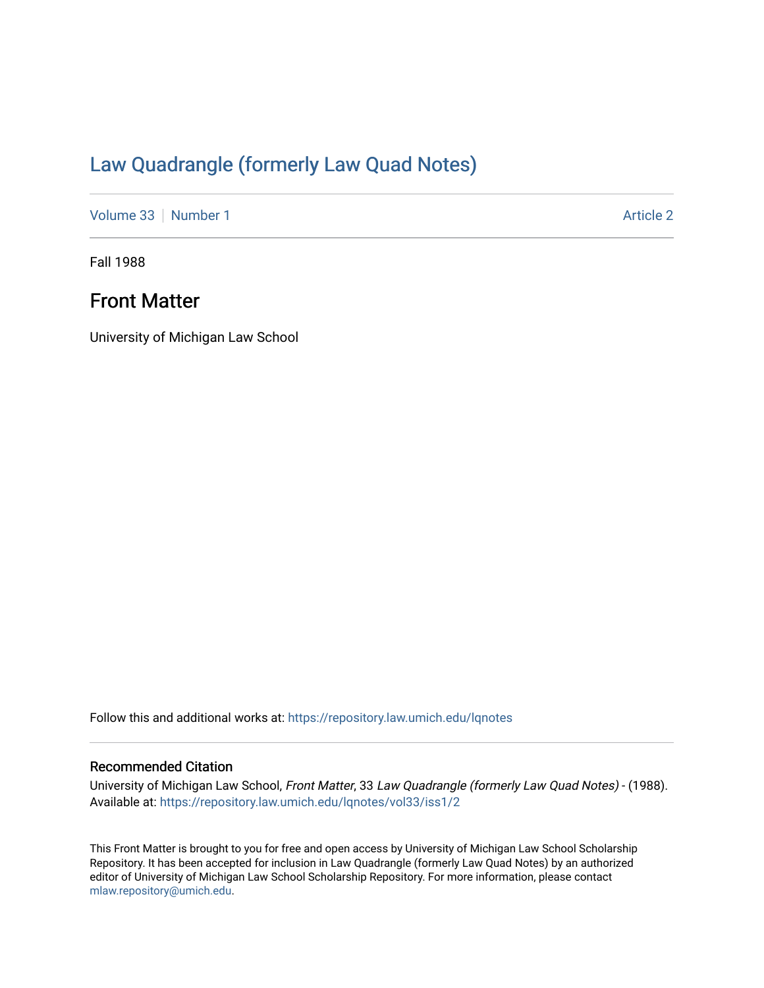# [Law Quadrangle \(formerly Law Quad Notes\)](https://repository.law.umich.edu/lqnotes)

[Volume 33](https://repository.law.umich.edu/lqnotes/vol33) [Number 1](https://repository.law.umich.edu/lqnotes/vol33/iss1) [Article 2](https://repository.law.umich.edu/lqnotes/vol33/iss1/2) Article 2

Fall 1988

## Front Matter

University of Michigan Law School

Follow this and additional works at: [https://repository.law.umich.edu/lqnotes](https://repository.law.umich.edu/lqnotes?utm_source=repository.law.umich.edu%2Flqnotes%2Fvol33%2Fiss1%2F2&utm_medium=PDF&utm_campaign=PDFCoverPages) 

## Recommended Citation

University of Michigan Law School, Front Matter, 33 Law Quadrangle (formerly Law Quad Notes) - (1988). Available at: [https://repository.law.umich.edu/lqnotes/vol33/iss1/2](https://repository.law.umich.edu/lqnotes/vol33/iss1/2?utm_source=repository.law.umich.edu%2Flqnotes%2Fvol33%2Fiss1%2F2&utm_medium=PDF&utm_campaign=PDFCoverPages) 

This Front Matter is brought to you for free and open access by University of Michigan Law School Scholarship Repository. It has been accepted for inclusion in Law Quadrangle (formerly Law Quad Notes) by an authorized editor of University of Michigan Law School Scholarship Repository. For more information, please contact [mlaw.repository@umich.edu.](mailto:mlaw.repository@umich.edu)